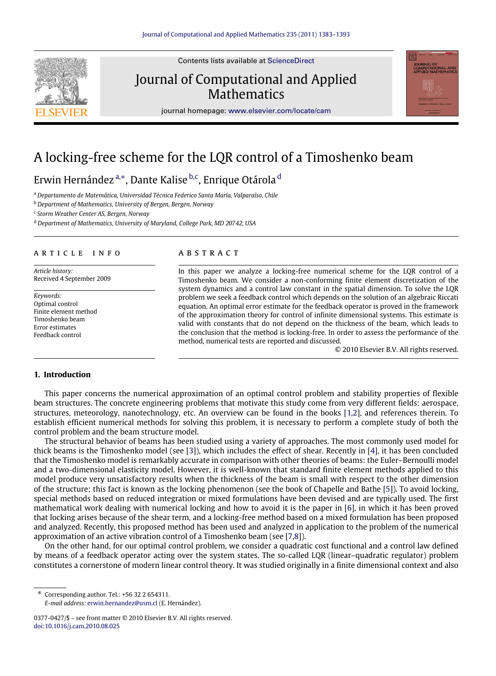

Contents lists available at [ScienceDirect](http://www.elsevier.com/locate/cam)

## Journal of Computational and Applied **Mathematics**



journal homepage: [www.elsevier.com/locate/cam](http://www.elsevier.com/locate/cam)

# A locking-free scheme for the LQR control of a Timoshenko beam

Erwin Hernández ª,\*, Dante Kalise <sup>[b,](#page-0-2)[c](#page-0-3)</sup>, Enrique Otárola <sup>[d](#page-0-4)</sup>

<span id="page-0-0"></span><sup>a</sup> *Departamento de Matemática, Universidad Técnica Federico Santa María, Valparaíso, Chile*

<span id="page-0-2"></span><sup>b</sup> *Department of Mathematics, University of Bergen, Bergen, Norway*

<span id="page-0-3"></span>c *Storm Weather Center AS, Bergen, Norway*

<span id="page-0-4"></span><sup>d</sup> *Department of Mathematics, University of Maryland, College Park, MD 20742, USA*

#### a r t i c l e i n f o

*Article history:* Received 4 September 2009

*Keywords:* Optimal control Finite element method Timoshenko beam Error estimates Feedback control

### a b s t r a c t

In this paper we analyze a locking-free numerical scheme for the LQR control of a Timoshenko beam. We consider a non-conforming finite element discretization of the system dynamics and a control law constant in the spatial dimension. To solve the LQR problem we seek a feedback control which depends on the solution of an algebraic Riccati equation. An optimal error estimate for the feedback operator is proved in the framework of the approximation theory for control of infinite dimensional systems. This estimate is valid with constants that do not depend on the thickness of the beam, which leads to the conclusion that the method is locking-free. In order to assess the performance of the method, numerical tests are reported and discussed.

© 2010 Elsevier B.V. All rights reserved.

#### **1. Introduction**

This paper concerns the numerical approximation of an optimal control problem and stability properties of flexible beam structures. The concrete engineering problems that motivate this study come from very different fields: aerospace, structures, meteorology, nanotechnology, etc. An overview can be found in the books [\[1](#page-10-0)[,2\]](#page-10-1), and references therein. To establish efficient numerical methods for solving this problem, it is necessary to perform a complete study of both the control problem and the beam structure model.

The structural behavior of beams has been studied using a variety of approaches. The most commonly used model for thick beams is the Timoshenko model (see [\[3\]](#page-10-2)), which includes the effect of shear. Recently in [\[4\]](#page-10-3), it has been concluded that the Timoshenko model is remarkably accurate in comparison with other theories of beams: the Euler–Bernoulli model and a two-dimensional elasticity model. However, it is well-known that standard finite element methods applied to this model produce very unsatisfactory results when the thickness of the beam is small with respect to the other dimension of the structure; this fact is known as the locking phenomenon (see the book of Chapelle and Bathe [\[5\]](#page-10-4)). To avoid locking, special methods based on reduced integration or mixed formulations have been devised and are typically used. The first mathematical work dealing with numerical locking and how to avoid it is the paper in [\[6\]](#page-10-5), in which it has been proved that locking arises because of the shear term, and a locking-free method based on a mixed formulation has been proposed and analyzed. Recently, this proposed method has been used and analyzed in application to the problem of the numerical approximation of an active vibration control of a Timoshenko beam (see [\[7](#page-10-6)[,8\]](#page-10-7)).

On the other hand, for our optimal control problem, we consider a quadratic cost functional and a control law defined by means of a feedback operator acting over the system states. The so-called LQR (linear–quadratic regulator) problem constitutes a cornerstone of modern linear control theory. It was studied originally in a finite dimensional context and also

<span id="page-0-1"></span>∗ Corresponding author. Tel.: +56 32 2 654311. *E-mail address:* [erwin.hernandez@usm.cl](mailto:erwin.hernandez@usm.cl) (E. Hernández).

<sup>0377-0427/\$ –</sup> see front matter © 2010 Elsevier B.V. All rights reserved. [doi:10.1016/j.cam.2010.08.025](http://dx.doi.org/10.1016/j.cam.2010.08.025)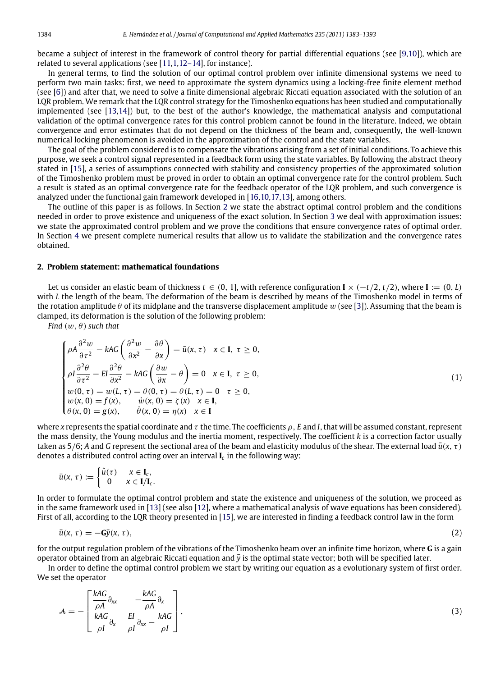became a subject of interest in the framework of control theory for partial differential equations (see [\[9](#page-10-8)[,10\]](#page-10-9)), which are related to several applications (see [\[11,](#page-10-10)[1](#page-10-0)[,12–14\]](#page-10-11), for instance).

In general terms, to find the solution of our optimal control problem over infinite dimensional systems we need to perform two main tasks: first, we need to approximate the system dynamics using a locking-free finite element method (see [\[6\]](#page-10-5)) and after that, we need to solve a finite dimensional algebraic Riccati equation associated with the solution of an LQR problem. We remark that the LQR control strategy for the Timoshenko equations has been studied and computationally implemented (see [\[13,](#page-10-12)[14\]](#page-10-13)) but, to the best of the author's knowledge, the mathematical analysis and computational validation of the optimal convergence rates for this control problem cannot be found in the literature. Indeed, we obtain convergence and error estimates that do not depend on the thickness of the beam and, consequently, the well-known numerical locking phenomenon is avoided in the approximation of the control and the state variables.

The goal of the problem considered is to compensate the vibrations arising from a set of initial conditions. To achieve this purpose, we seek a control signal represented in a feedback form using the state variables. By following the abstract theory stated in [\[15\]](#page-10-14), a series of assumptions connected with stability and consistency properties of the approximated solution of the Timoshenko problem must be proved in order to obtain an optimal convergence rate for the control problem. Such a result is stated as an optimal convergence rate for the feedback operator of the LQR problem, and such convergence is analyzed under the functional gain framework developed in [\[16,](#page-10-15)[10](#page-10-9)[,17,](#page-10-16)[13\]](#page-10-12), among others.

The outline of this paper is as follows. In Section [2](#page-1-0) we state the abstract optimal control problem and the conditions needed in order to prove existence and uniqueness of the exact solution. In Section [3](#page-3-0) we deal with approximation issues: we state the approximated control problem and we prove the conditions that ensure convergence rates of optimal order. In Section [4](#page-5-0) we present complete numerical results that allow us to validate the stabilization and the convergence rates obtained.

#### <span id="page-1-0"></span>**2. Problem statement: mathematical foundations**

Let us consider an elastic beam of thickness  $t \in (0, 1]$ , with reference configuration  $\mathbf{I} \times (-t/2, t/2)$ , where  $\mathbf{I} := (0, L)$ with *L* the length of the beam. The deformation of the beam is described by means of the Timoshenko model in terms of the rotation amplitude  $\theta$  of its midplane and the transverse displacement amplitude w (see [\[3\]](#page-10-2)). Assuming that the beam is clamped, its deformation is the solution of the following problem:

*Find*  $(w, \theta)$  *such that* 

<span id="page-1-1"></span>
$$
\begin{cases}\n\rho A \frac{\partial^2 w}{\partial \tau^2} - kAG \left( \frac{\partial^2 w}{\partial x^2} - \frac{\partial \theta}{\partial x} \right) = \bar{u}(x, \tau) & x \in I, \ \tau \ge 0, \\
\rho I \frac{\partial^2 \theta}{\partial \tau^2} - El \frac{\partial^2 \theta}{\partial x^2} - kAG \left( \frac{\partial w}{\partial x} - \theta \right) = 0 & x \in I, \ \tau \ge 0, \\
w(0, \tau) = w(L, \tau) = \theta(0, \tau) = \theta(L, \tau) = 0 & \tau \ge 0, \\
w(x, 0) = f(x), & \dot{w}(x, 0) = \zeta(x) & x \in I, \\
\theta(x, 0) = g(x), & \dot{\theta}(x, 0) = \eta(x) & x \in I\n\end{cases}
$$
\n(1)

where *x* represents the spatial coordinate and τ the time. The coefficients ρ, *E* and *I*, that will be assumed constant, represent the mass density, the Young modulus and the inertia moment, respectively. The coefficient *k* is a correction factor usually taken as  $5/6$ ; *A* and *G* represent the sectional area of the beam and elasticity modulus of the shear. The external load  $\bar{u}(x, \tau)$ denotes a distributed control acting over an interval  $\mathbf{I}_c$  in the following way:

$$
\bar{u}(x,\,\tau):=\begin{cases}\hat{u}(\tau)&x\in\mathbf{I}_c,\\0&x\in\mathbf{I}/\mathbf{I}_c.\end{cases}
$$

In order to formulate the optimal control problem and state the existence and uniqueness of the solution, we proceed as in the same framework used in [\[13\]](#page-10-12) (see also [\[12\]](#page-10-11), where a mathematical analysis of wave equations has been considered). First of all, according to the LQR theory presented in [\[15\]](#page-10-14), we are interested in finding a feedback control law in the form

<span id="page-1-2"></span>
$$
\bar{u}(x,\tau) = -G\bar{y}(x,\tau),\tag{2}
$$

for the output regulation problem of the vibrations of the Timoshenko beam over an infinite time horizon, where **G** is a gain operator obtained from an algebraic Riccati equation and  $\bar{y}$  is the optimal state vector; both will be specified later.

In order to define the optimal control problem we start by writing our equation as a evolutionary system of first order. We set the operator

$$
A = -\left[\begin{array}{cc} \frac{kAG}{\rho A} \partial_{xx} & -\frac{kAG}{\rho A} \partial_{x} \\ \frac{kAG}{\rho I} \partial_{x} & \frac{EI}{\rho I} \partial_{xx} - \frac{kAG}{\rho I} \end{array}\right],\tag{3}
$$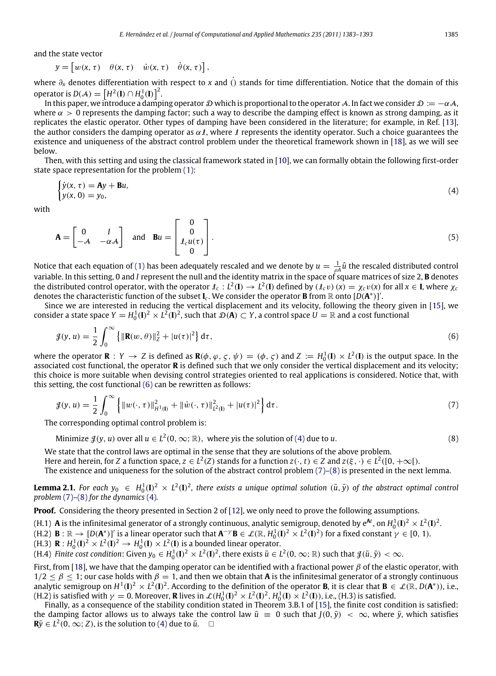and the state vector

 $y = \begin{bmatrix} w(x, \tau) & \theta(x, \tau) & \dot{w}(x, \tau) & \dot{\theta}(x, \tau) \end{bmatrix},$ 

where ∂*<sup>x</sup>* denotes differentiation with respect to *<sup>x</sup>* and ˙() stands for time differentiation. Notice that the domain of this operator is  $D(A) = \left[ H^2(\mathbf{I}) \cap H_0^1(\mathbf{I}) \right]^2$ .

In this paper, we introduce a damping operator D which is proportional to the operator A. In fact we consider  $\mathcal{D} := -\alpha \mathcal{A}$ , where  $\alpha > 0$  represents the damping factor; such a way to describe the damping effect is known as strong damping, as it replicates the elastic operator. Other types of damping have been considered in the literature; for example, in Ref. [\[13\]](#page-10-12), the author considers the damping operator as  $\alpha \ell$ , where  $\ell$  represents the identity operator. Such a choice guarantees the existence and uniqueness of the abstract control problem under the theoretical framework shown in [\[18\]](#page-10-17), as we will see below.

Then, with this setting and using the classical framework stated in [\[10\]](#page-10-9), we can formally obtain the following first-order state space representation for the problem [\(1\):](#page-1-1)

$$
\begin{cases}\n\dot{y}(x,\,\tau) = \mathbf{A}y + \mathbf{B}u, \\
y(x,\,0) = y_0,\n\end{cases}
$$
\n(4)

with

$$
\mathbf{A} = \begin{bmatrix} 0 & I \\ -\mathcal{A} & -\alpha \mathcal{A} \end{bmatrix} \text{ and } \mathbf{B}u = \begin{bmatrix} 0 \\ 0 \\ I_c u(\tau) \\ 0 \end{bmatrix}.
$$
 (5)

Notice that each equation of [\(1\)](#page-1-1) has been adequately rescaled and we denote by  $u=\frac{1}{\rho A}\hat{u}$  the rescaled distributed control variable. In this setting, 0 and *I* represent the null and the identity matrix in the space of square matrices of size 2, **B** denotes the distributed control operator, with the operator  $\ell_c:L^2(\mathbf{I})\to L^2(\mathbf{I})$  defined by  $(\ell_c v)(x)=\chi_c v(x)$  for all  $x\in\mathbf{I}$ , where  $\chi_c$ denotes the characteristic function of the subset  $I_c$ . We consider the operator **B** from  $\mathbb R$  onto  $[D(A^*)]'$ .

Since we are interested in reducing the vertical displacement and its velocity, following the theory given in [\[15\]](#page-10-14), we consider a state space  $Y = H_0^1(I)^2 \times L^2(I)^2$ , such that  $\mathcal{D}(A) \subset Y$ , a control space  $U = \mathbb{R}$  and a cost functional

$$
\mathcal{J}(y, u) = \frac{1}{2} \int_0^{\infty} {\{ ||\mathbf{R}(w, \theta)||_2^2 + |u(\tau)|^2 \} d\tau},
$$
\n(6)

where the operator **R** :  $Y \to Z$  is defined as  $\mathbf{R}(\phi, \phi, \zeta, \psi) = (\phi, \zeta)$  and  $Z := H_0^1(\mathbf{I}) \times L^2(\mathbf{I})$  is the output space. In the associated cost functional, the operator **R** is defined such that we only consider the vertical displacement and its velocity; this choice is more suitable when devising control strategies oriented to real applications is considered. Notice that, with this setting, the cost functional [\(6\)](#page-2-0) can be rewritten as follows:

$$
\mathcal{J}(y, u) = \frac{1}{2} \int_0^{\infty} \left\{ ||w(\cdot, \tau)||^2_{H^1(\mathbf{I})} + ||\dot{w}(\cdot, \tau)||^2_{L^2(\mathbf{I})} + |u(\tau)|^2 \right\} d\tau.
$$
 (7)

The corresponding optimal control problem is:

Minimize  $\mathcal{J}(y, u)$  over all  $u \in L^2(0, \infty; \mathbb{R})$ , where yis the solution of [\(4\)](#page-2-1) due to *u*. (8)

We state that the control laws are optimal in the sense that they are solutions of the above problem. Here and herein, for *Z* a function space,  $z \in L^2(Z)$  stands for a function  $z(\cdot,t) \in Z$  and  $z(\xi,\cdot) \in L^2([0,+\infty[).$ The existence and uniqueness for the solution of the abstract control problem [\(7\)](#page-2-2)[–\(8\)](#page-2-3) is presented in the next lemma.

**Lemma 2.1.** For each  $y_0 \in H_0^1(\mathbf{I})^2 \times L^2(\mathbf{I})^2$ , there exists a unique optimal solution  $(\bar{u}, \bar{y})$  of the abstract optimal control *problem* [\(7\)](#page-2-2)*–*[\(8\)](#page-2-3) *for the dynamics* [\(4\)](#page-2-1)*.*

**Proof.** Considering the theory presented in Section 2 of [\[12\]](#page-10-11), we only need to prove the following assumptions.

(H.1)  $\bm{A}$  is the infinitesimal generator of a strongly continuous, analytic semigroup, denoted by  $e^{\bm{A}t}$ , on  $H_0^1(\bm{I})^2 \times L^2(\bm{I})^2$ . (H.2)  $\mathbf{B} : \mathbb{R} \to [D(\mathbf{A}^*)]'$  is a linear operator such that  $\mathbf{A}^{-\gamma} \mathbf{B} \in \mathcal{L}(\mathbb{R}, H_0^1(\mathbf{I})^2 \times L^2(\mathbf{I})^2)$  for a fixed constant  $\gamma \in [0, 1)$ .

 $(H.3)$  **R** :  $H_0^1(I)^2 \times L^2(I)^2 \rightarrow H_0^1(I) \times L^2(I)$  is a bounded linear operator.

(H.4) *Finite cost condition*: Given  $y_0 \in H_0^1(I)^2 \times L^2(I)^2$ , there exists  $\bar{u} \in L^2(0,\infty;\mathbb{R})$  such that  $\mathcal{J}(\bar{u},\bar{y}) < \infty$ .

First, from [\[18\]](#page-10-17), we have that the damping operator can be identified with a fractional power  $\beta$  of the elastic operator, with  $1/2 \leq \beta \leq 1$ ; our case holds with  $\beta = 1$ , and then we obtain that **A** is the infinitesimal generator of a strongly continuous analytic semigroup on  $H^1(I)^2 \times L^2(I)^2$ . According to the definition of the operator **B**, it is clear that  $B \in \mathcal{L}(\mathbb{R}, D(A^*))$ , i.e., (H.2) is satisfied with  $\gamma = 0$ . Moreover, **R** lives in  $\mathcal{L}(H_0^1(\mathbf{I})^2 \times L^2(\mathbf{I})^2, H_0^1(\mathbf{I}) \times L^2(\mathbf{I}))$ , i.e., (H.3) is satisfied.

Finally, as a consequence of the stability condition stated in Theorem 3.B.1 of [\[15\]](#page-10-14), the finite cost condition is satisfied: the damping factor allows us to always take the control law  $\bar{u} \equiv 0$  such that  $J(0, \bar{y}) < \infty$ , where  $\bar{y}$ , which satisfies  $\mathbf{R}\bar{y} \in L^2(0, \infty; Z)$ , is the solution to [\(4\)](#page-2-1) due to  $\bar{u}$ .  $\Box$ 

<span id="page-2-4"></span><span id="page-2-3"></span><span id="page-2-2"></span><span id="page-2-1"></span><span id="page-2-0"></span>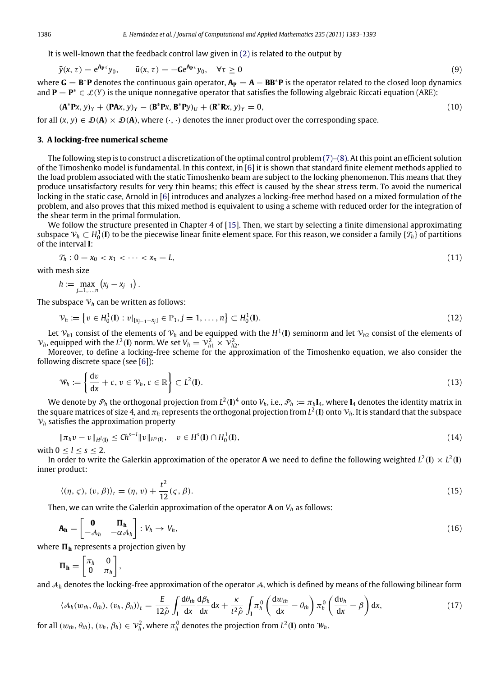It is well-known that the feedback control law given in [\(2\)](#page-1-2) is related to the output by

$$
\bar{y}(x,\tau) = e^{\mathbf{A}_{\mathbf{P}}\tau}y_0, \qquad \bar{u}(x,\tau) = -\mathbf{G}e^{\mathbf{A}_{\mathbf{P}}\tau}y_0, \quad \forall \tau \ge 0
$$
\n(9)

where  $G = B^*P$  denotes the continuous gain operator,  $A_P = A - BB^*P$  is the operator related to the closed loop dynamics and  $P = P^* \in \mathcal{L}(Y)$  is the unique nonnegative operator that satisfies the following algebraic Riccati equation (ARE):

$$
(\mathbf{A}^* \mathbf{P} \mathbf{x}, \mathbf{y})_Y + (\mathbf{P} \mathbf{A} \mathbf{x}, \mathbf{y})_Y - (\mathbf{B}^* \mathbf{P} \mathbf{x}, \mathbf{B}^* \mathbf{P} \mathbf{y})_U + (\mathbf{R}^* \mathbf{R} \mathbf{x}, \mathbf{y})_Y = 0,
$$
\n(10)

for all  $(x, y) \in \mathcal{D}(A) \times \mathcal{D}(A)$ , where  $(\cdot, \cdot)$  denotes the inner product over the corresponding space.

#### <span id="page-3-0"></span>**3. A locking-free numerical scheme**

The following step is to construct a discretization of the optimal control problem  $(7)-(8)$  $(7)-(8)$ . At this point an efficient solution of the Timoshenko model is fundamental. In this context, in [\[6\]](#page-10-5) it is shown that standard finite element methods applied to the load problem associated with the static Timoshenko beam are subject to the locking phenomenon. This means that they produce unsatisfactory results for very thin beams; this effect is caused by the shear stress term. To avoid the numerical locking in the static case, Arnold in [\[6\]](#page-10-5) introduces and analyzes a locking-free method based on a mixed formulation of the problem, and also proves that this mixed method is equivalent to using a scheme with reduced order for the integration of the shear term in the primal formulation.

We follow the structure presented in Chapter 4 of [\[15\]](#page-10-14). Then, we start by selecting a finite dimensional approximating subspace  $\mathcal{V}_h\subset H^1_0(\mathbf{I})$  to be the piecewise linear finite element space. For this reason, we consider a family  $\{\mathcal{T}_h\}$  of partitions of the interval **I**:

<span id="page-3-2"></span>
$$
\mathcal{T}_h: 0 = x_0 < x_1 < \cdots < x_n = L,\tag{11}
$$

with mesh size

$$
h:=\max_{j=1,\ldots,n}\left(x_j-x_{j-1}\right).
$$

The subspace  $V_h$  can be written as follows:

<span id="page-3-3"></span>
$$
\mathcal{V}_h := \left\{ v \in H_0^1(\mathbf{I}) : v|_{[x_{j-1} - x_j]} \in \mathbb{P}_1, j = 1, \dots, n \right\} \subset H_0^1(\mathbf{I}). \tag{12}
$$

Let  $v_{h1}$  consist of the elements of  $v_h$  and be equipped with the  $H^1(I)$  seminorm and let  $v_{h2}$  consist of the elements of  $V_h$ , equipped with the  $L^2(\mathbf{I})$  norm. We set  $V_h = V_{h1}^2 \times V_{h2}^2$ .

Moreover, to define a locking-free scheme for the approximation of the Timoshenko equation, we also consider the following discrete space (see [\[6\]](#page-10-5)):

$$
\mathcal{W}_h := \left\{ \frac{\mathrm{d}v}{\mathrm{d}x} + c, v \in \mathcal{V}_h, c \in \mathbb{R} \right\} \subset L^2(\mathbf{I}).\tag{13}
$$

We denote by  $\mathcal{P}_h$  the orthogonal projection from  $L^2(\bf{I})^4$  onto  $V_h$ , i.e.,  $\mathcal{P}_h:=\pi_h\bf{I}_4$ , where  $\bf{I}_4$  denotes the identity matrix in the square matrices of size 4, and  $\pi_h$  represents the orthogonal projection from  $L^2(I)$  onto  $\mathcal{V}_h.$  It is standard that the subspace  $V<sub>h</sub>$  satisfies the approximation property

$$
\|\pi_h v - v\|_{H^1(\mathbf{I})} \le C h^{s-l} \|v\|_{H^s(\mathbf{I})}, \quad v \in H^s(\mathbf{I}) \cap H_0^1(\mathbf{I}), \tag{14}
$$

with  $0 \le l \le s \le 2$ .

In order to write the Galerkin approximation of the operator **A** we need to define the following weighted  $L^2(I)\times L^2(I)$ inner product:

<span id="page-3-1"></span>
$$
\langle (\eta, \zeta), (v, \beta) \rangle_t = (\eta, v) + \frac{t^2}{12} (\zeta, \beta). \tag{15}
$$

Then, we can write the Galerkin approximation of the operator **A** on *V<sup>h</sup>* as follows:

$$
\mathbf{A_h} = \begin{bmatrix} \mathbf{0} & \mathbf{\Pi_h} \\ -\mathbf{\mathcal{A}}_h & -\alpha \mathbf{\mathcal{A}}_h \end{bmatrix} : V_h \to V_h,
$$
\n(16)

where  $\Pi_h$  represents a projection given by

$$
\Pi_{\mathbf{h}} = \begin{bmatrix} \pi_h & 0 \\ 0 & \pi_h \end{bmatrix},
$$

and  $A_h$  denotes the locking-free approximation of the operator A, which is defined by means of the following bilinear form

$$
\langle \mathcal{A}_h(w_{th}, \theta_{th}), (v_h, \beta_h) \rangle_t = \frac{E}{12\hat{\rho}} \int_I \frac{\mathrm{d}\theta_{th}}{\mathrm{d}x} \frac{\mathrm{d}\beta_h}{\mathrm{d}x} \mathrm{d}x + \frac{\kappa}{t^2\hat{\rho}} \int_I \pi_h^0 \left( \frac{\mathrm{d}w_{th}}{\mathrm{d}x} - \theta_{th} \right) \pi_h^0 \left( \frac{\mathrm{d}v_h}{\mathrm{d}x} - \beta \right) \mathrm{d}x, \tag{17}
$$

for all  $(w_{th}, \theta_{th})$ ,  $(v_h, \beta_h) \in V_h^2$ , where  $\pi_h^0$  denotes the projection from  $L^2(\mathbf{I})$  onto  $W_h$ .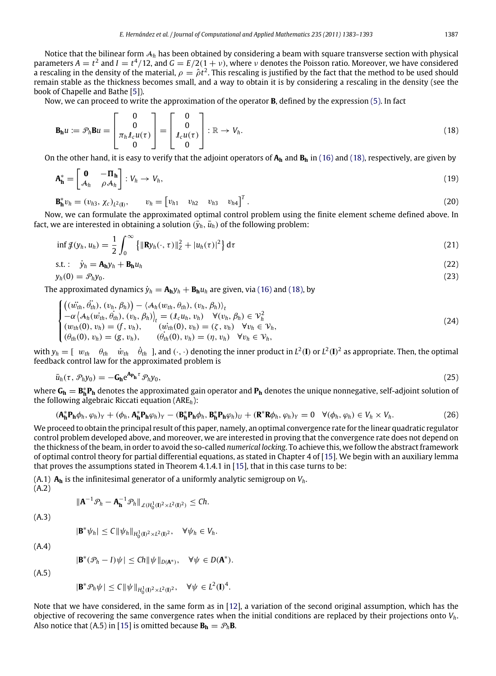Notice that the bilinear form A*<sup>h</sup>* has been obtained by considering a beam with square transverse section with physical parameters  $A = t^2$  and  $I = t^4/12$ , and  $G = E/2(1 + v)$ , where v denotes the Poisson ratio. Moreover, we have considered a rescaling in the density of the material,  $\rho=\hat\rho t^2.$  This rescaling is justified by the fact that the method to be used should remain stable as the thickness becomes small, and a way to obtain it is by considering a rescaling in the density (see the book of Chapelle and Bathe [\[5\]](#page-10-4)).

Now, we can proceed to write the approximation of the operator **B**, defined by the expression [\(5\).](#page-2-4) In fact

<span id="page-4-0"></span>
$$
\mathbf{B}_{h}u := \mathcal{P}_{h}\mathbf{B}u = \begin{bmatrix} 0 \\ 0 \\ \pi_{h}\ell_{c}u(\tau) \\ 0 \end{bmatrix} = \begin{bmatrix} 0 \\ 0 \\ \ell_{c}u(\tau) \\ 0 \end{bmatrix} : \mathbb{R} \to V_{h}.
$$
 (18)

On the other hand, it is easy to verify that the adjoint operators of **A<sup>h</sup>** and **B<sup>h</sup>** in [\(16\)](#page-3-1) and [\(18\),](#page-4-0) respectively, are given by

$$
\mathbf{A}_{\mathbf{h}}^* = \begin{bmatrix} \mathbf{0} & -\mathbf{\Pi}_{\mathbf{h}} \\ \mathcal{A}_{h} & \rho \mathcal{A}_{h} \end{bmatrix} : V_h \to V_h,
$$
\n(19)

$$
\mathbf{B}_{\mathbf{h}}^* v_h = (v_{h3}, \chi_c)_{L^2(\mathbf{I})}, \qquad v_h = \begin{bmatrix} v_{h1} & v_{h2} & v_{h3} & v_{h4} \end{bmatrix}^T.
$$
 (20)

Now, we can formulate the approximated optimal control problem using the finite element scheme defined above. In fact, we are interested in obtaining a solution  $(\bar{y}_h, \bar{u}_h)$  of the following problem:

$$
\inf \mathcal{J}(y_h, u_h) = \frac{1}{2} \int_0^\infty \left\{ \|\mathbf{R} y_h(\cdot, \tau)\|_2^2 + |u_h(\tau)|^2 \right\} d\tau \tag{21}
$$

$$
s.t. : \dot{y}_h = A_h y_h + B_h u_h \tag{22}
$$

$$
y_h(0) = \mathcal{P}_h y_0. \tag{23}
$$

The approximated dynamics  $\dot{y}_h = A_h y_h + B_h u_h$  are given, via [\(16\)](#page-3-1) and [\(18\),](#page-4-0) by

<span id="page-4-2"></span>
$$
\begin{cases}\n\left((\dot{w}_{th}, \dot{\theta}_{th}), (v_h, \beta_h)\right) - \langle \mathcal{A}_h(w_{th}, \theta_{th}), (v_h, \beta_h) \rangle_t \\
-\alpha \langle \mathcal{A}_h(\dot{w}_{th}, \theta_{th}), (v_h, \beta_h) \rangle_t = (f \mathcal{A}_h, v_h) \quad \forall (v_h, \beta_h) \in \mathcal{V}_h^2 \\
(\dot{w}_{th}(0), v_h) = (f, v_h), \qquad (\dot{w}_{th}(0), v_h) = (\zeta, v_h) \quad \forall v_h \in \mathcal{V}_h, \\
(\theta_{th}(0), v_h) = (g, v_h), \qquad (\dot{\theta}_{th}(0), v_h) = (\eta, v_h) \quad \forall v_h \in \mathcal{V}_h,\n\end{cases}
$$
\n(24)

with  $y_h = [w_{th} \quad \theta_{th} \quad \dot{w}_{th} \quad \dot{\theta}_{th}]$ , and  $(\cdot, \cdot)$  denoting the inner product in  $L^2(I)$  or  $L^2(I)^2$  as appropriate. Then, the optimal feedback control law for the approximated problem is

$$
\bar{u}_h(\tau, \mathcal{P}_h y_0) = -\mathbf{G_h} e^{\mathbf{A_p}_h \tau} \mathcal{P}_h y_0,\tag{25}
$$

where **G<sup>h</sup>** = **B** ∗ **h P<sup>h</sup>** denotes the approximated gain operator and **P<sup>h</sup>** denotes the unique nonnegative, self-adjoint solution of the following algebraic Riccati equation (ARE*h*):

$$
(\mathbf{A}_{\mathbf{h}}^* \mathbf{P}_{\mathbf{h}} \phi_h, \varphi_h)_Y + (\phi_h, \mathbf{A}_{\mathbf{h}}^* \mathbf{P}_{\mathbf{h}} \varphi_h)_Y - (\mathbf{B}_{\mathbf{h}}^* \mathbf{P}_{\mathbf{h}} \phi_h, \mathbf{B}_{\mathbf{h}}^* \mathbf{P}_{\mathbf{h}} \varphi_h)_U + (\mathbf{R}^* \mathbf{R} \phi_h, \varphi_h)_Y = 0 \quad \forall (\phi_h, \varphi_h) \in V_h \times V_h.
$$
 (26)

We proceed to obtain the principal result of this paper, namely, an optimal convergence rate for the linear quadratic regulator control problem developed above, and moreover, we are interested in proving that the convergence rate does not depend on the thickness of the beam, in order to avoid the so-called *numerical locking*. To achieve this, we follow the abstract framework of optimal control theory for partial differential equations, as stated in Chapter 4 of [\[15\]](#page-10-14). We begin with an auxiliary lemma that proves the assumptions stated in Theorem 4.1.4.1 in [\[15\]](#page-10-14), that in this case turns to be:

 $(A.1)$   $A_h$  is the infinitesimal generator of a uniformly analytic semigroup on  $V_h$ . (A.2)

<span id="page-4-1"></span>
$$
\|\mathbf{A}^{-1}\mathcal{P}_h-\mathbf{A}_{\mathbf{h}}^{-1}\mathcal{P}_h\|_{\mathcal{L}(H_0^1(\mathbf{I})^2\times L^2(\mathbf{I})^2)}\leq Ch.
$$

(A.3)

$$
|\mathbf{B}^* \psi_h| \leq C \|\psi_h\|_{H_0^1(\mathbf{I})^2 \times L^2(\mathbf{I})^2}, \quad \forall \psi_h \in V_h.
$$

(A.4)

$$
|\mathbf{B}^*(\mathcal{P}_h - I)\psi| \le Ch \|\psi\|_{D(\mathbf{A}^*)}, \quad \forall \psi \in D(\mathbf{A}^*).
$$

(A.5)

$$
|\mathbf{B}^* \mathcal{P}_h \psi| \leq C \|\psi\|_{H^1_0(I)^2 \times L^2(I)^2}, \quad \forall \psi \in L^2(I)^4.
$$

Note that we have considered, in the same form as in [\[12\]](#page-10-11), a variation of the second original assumption, which has the objective of recovering the same convergence rates when the initial conditions are replaced by their projections onto *Vh*. Also notice that (A.5) in [\[15\]](#page-10-14) is omitted because  $\mathbf{B}_h = \mathcal{P}_h \mathbf{B}$ .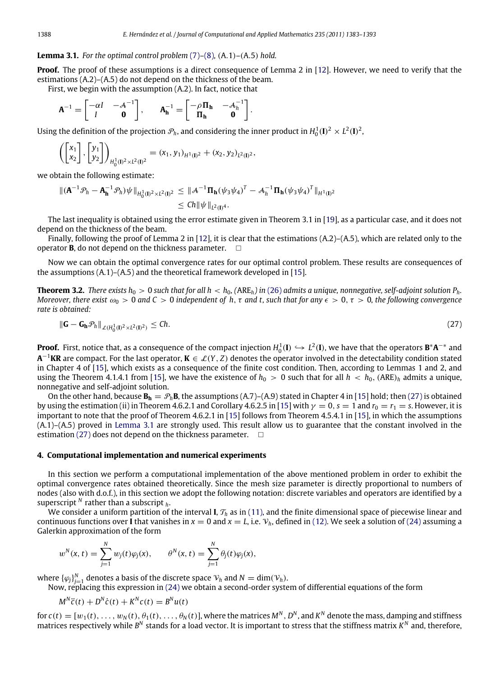<span id="page-5-2"></span>**Lemma 3.1.** *For the optimal control problem* [\(7\)](#page-2-2)*–*[\(8\)](#page-2-3)*,* (A.1)–(A.5) *hold.*

**Proof.** The proof of these assumptions is a direct consequence of Lemma 2 in [\[12\]](#page-10-11). However, we need to verify that the estimations (A.2)–(A.5) do not depend on the thickness of the beam.

<span id="page-5-1"></span>.

First, we begin with the assumption (A.2). In fact, notice that

$$
\mathbf{A}^{-1} = \begin{bmatrix} -\alpha I & -\mathbf{A}^{-1} \\ I & \mathbf{0} \end{bmatrix}, \qquad \mathbf{A}_{\mathbf{h}}^{-1} = \begin{bmatrix} -\rho \, \Pi_{\mathbf{h}} & -\mathbf{A}_{h}^{-1} \\ \Pi_{\mathbf{h}} & \mathbf{0} \end{bmatrix}
$$

Using the definition of the projection  $\mathcal{P}_h$ , and considering the inner product in  $H_0^1(\mathbf{I})^2 \times L^2(\mathbf{I})^2$ ,

$$
\left(\begin{bmatrix} x_1 \\ x_2 \end{bmatrix}, \begin{bmatrix} y_1 \\ y_2 \end{bmatrix}\right)_{H_0^1(\mathbf{I})^2 \times L^2(\mathbf{I})^2} = (x_1, y_1)_{H^1(\mathbf{I})^2} + (x_2, y_2)_{L^2(\mathbf{I})^2},
$$

we obtain the following estimate:

$$
\begin{aligned} \| (\mathbf{A}^{-1} \mathcal{P}_h - \mathbf{A}_{\mathbf{h}}^{-1} \mathcal{P}_h) \psi \|_{H_0^1(\mathbf{I})^2 \times L^2(\mathbf{I})^2} &\le \| \mathcal{A}^{-1} \mathbf{\Pi}_{\mathbf{h}} (\psi_3 \psi_4)^T - \mathcal{A}_h^{-1} \mathbf{\Pi}_{\mathbf{h}} (\psi_3 \psi_4)^T \|_{H^1(\mathbf{I})^2} \\ &\le Ch \| \psi \|_{L^2(\mathbf{I})^4} .\end{aligned}
$$

The last inequality is obtained using the error estimate given in Theorem 3.1 in [\[19\]](#page-10-18), as a particular case, and it does not depend on the thickness of the beam.

Finally, following the proof of Lemma 2 in [\[12\]](#page-10-11), it is clear that the estimations  $(A.2)$ – $(A.5)$ , which are related only to the operator **B**, do not depend on the thickness parameter.  $\Box$ 

Now we can obtain the optimal convergence rates for our optimal control problem. These results are consequences of the assumptions  $(A.1)$ – $(A.5)$  and the theoretical framework developed in [\[15\]](#page-10-14).

**Theorem 3.2.** *There exists*  $h_0 > 0$  *such that for all*  $h < h_0$ *, (ARE<sub>h</sub>) in* [\(26\)](#page-4-1) *admits a unique, nonnegative, self-adjoint solution*  $P_h$ *. Moreover, there exist*  $\omega_0 > 0$  *and*  $C > 0$  *independent of h, t and t, such that for any*  $\epsilon > 0$ ,  $\tau > 0$ , *the following convergence rate is obtained:*

$$
\|\mathbf{G}-\mathbf{G}_{\mathbf{h}}\mathcal{P}_h\|_{\mathcal{L}(H_0^1(\Omega)^2 \times L^2(\Omega)^2)} \leq Ch. \tag{27}
$$

**Proof.** First, notice that, as a consequence of the compact injection  $H_0^1(I) \hookrightarrow L^2(I)$ , we have that the operators  $B^*A^{-*}$  and **A** <sup>−</sup><sup>1</sup>**KR** are compact. For the last operator, **K** ∈ L(*Y*, *Z*) denotes the operator involved in the detectability condition stated in Chapter 4 of [\[15\]](#page-10-14), which exists as a consequence of the finite cost condition. Then, according to Lemmas 1 and 2, and using the Theorem 4.1.4.1 from [\[15\]](#page-10-14), we have the existence of  $h_0 > 0$  such that for all  $h < h_0$ , (ARE)<sub>*h*</sub> admits a unique, nonnegative and self-adjoint solution.

On the other hand, because  $B_h = P_h B$ , the assumptions (A.7)–(A.9) stated in Chapter 4 in [\[15\]](#page-10-14) hold; then [\(27\)](#page-5-1) is obtained by using the estimation (ii) in Theorem 4.6.2.1 and Corollary 4.6.2.5 in [\[15\]](#page-10-14) with  $\gamma = 0$ ,  $s = 1$  and  $r_0 = r_1 = s$ . However, it is important to note that the proof of Theorem 4.6.2.1 in [\[15\]](#page-10-14) follows from Theorem 4.5.4.1 in [\[15\]](#page-10-14), in which the assumptions (A.1)–(A.5) proved in [Lemma 3.1](#page-5-2) are strongly used. This result allow us to guarantee that the constant involved in the estimation [\(27\)](#page-5-1) does not depend on the thickness parameter.  $\square$ 

#### <span id="page-5-0"></span>**4. Computational implementation and numerical experiments**

In this section we perform a computational implementation of the above mentioned problem in order to exhibit the optimal convergence rates obtained theoretically. Since the mesh size parameter is directly proportional to numbers of nodes (also with d.o.f.), in this section we adopt the following notation: discrete variables and operators are identified by a superscript *<sup>N</sup>* rather than a subscript *<sup>h</sup>*.

We consider a uniform partition of the interval **I**,  $T_h$  as in [\(11\),](#page-3-2) and the finite dimensional space of piecewise linear and continuous functions over **I** that vanishes in  $x = 0$  and  $x = L$ , i.e.  $V_h$ , defined in [\(12\).](#page-3-3) We seek a solution of [\(24\)](#page-4-2) assuming a Galerkin approximation of the form

$$
w^N(x, t) = \sum_{j=1}^N w_j(t)\varphi_j(x), \qquad \theta^N(x, t) = \sum_{j=1}^N \theta_j(t)\varphi_j(x),
$$

where  $\{\varphi_j\}_{j=1}^N$  denotes a basis of the discrete space  $\mathcal{V}_h$  and  $N = \dim(\mathcal{V}_h)$ .

Now, replacing this expression in [\(24\)](#page-4-2) we obtain a second-order system of differential equations of the form

$$
M^N \ddot{c}(t) + D^N \dot{c}(t) + K^N c(t) = B^N u(t)
$$

for  $c(t)=[w_1(t),\ldots,w_N(t),\theta_1(t),\ldots,\theta_N(t)]$ , where the matrices  $M^N$ ,  $D^N$ , and  $K^N$  denote the mass, damping and stiffness matrices respectively while B<sup>N</sup> stands for a load vector. It is important to stress that the stiffness matrix  $K^N$  and, therefore,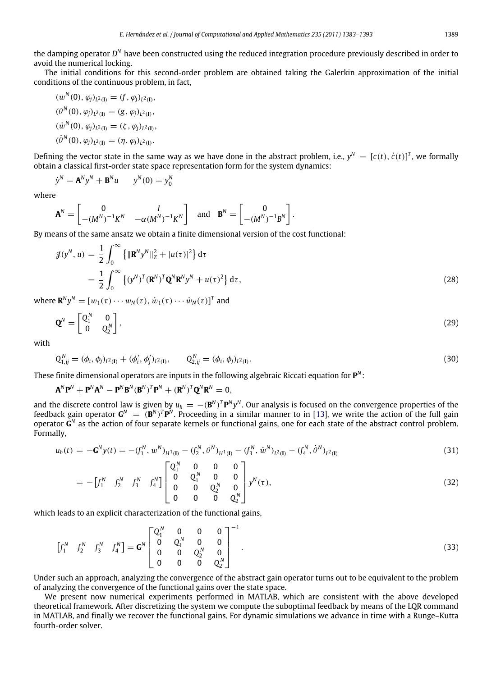the damping operator *D*<sup>N</sup> have been constructed using the reduced integration procedure previously described in order to avoid the numerical locking.

The initial conditions for this second-order problem are obtained taking the Galerkin approximation of the initial conditions of the continuous problem, in fact,

$$
(w^N(0), \varphi_j)_{L^2(\mathbf{I})} = (f, \varphi_j)_{L^2(\mathbf{I})},
$$
  
\n
$$
(\theta^N(0), \varphi_j)_{L^2(\mathbf{I})} = (g, \varphi_j)_{L^2(\mathbf{I})},
$$
  
\n
$$
(w^N(0), \varphi_j)_{L^2(\mathbf{I})} = (\zeta, \varphi_j)_{L^2(\mathbf{I})},
$$
  
\n
$$
(\dot{\theta}^N(0), \varphi_j)_{L^2(\mathbf{I})} = (\eta, \varphi_j)_{L^2(\mathbf{I})}.
$$

Defining the vector state in the same way as we have done in the abstract problem, i.e.,  $y^N = [c(t), \dot{c}(t)]^T$ , we formally obtain a classical first-order state space representation form for the system dynamics:

$$
\dot{y}^N = \mathbf{A}^N y^N + \mathbf{B}^N u \qquad y^N(0) = y_0^N
$$

 $\sim$  ∞

where

$$
\mathbf{A}^N = \begin{bmatrix} 0 & I \\ -(M^N)^{-1}K^N & -\alpha(M^N)^{-1}K^N \end{bmatrix} \text{ and } \mathbf{B}^N = \begin{bmatrix} 0 \\ -(M^N)^{-1}B^N \end{bmatrix}.
$$

By means of the same ansatz we obtain a finite dimensional version of the cost functional:

$$
\mathcal{J}(y^N, u) = \frac{1}{2} \int_0^\infty \left\{ \|\mathbf{R}^N y^N\|_Z^2 + |u(\tau)|^2 \right\} d\tau
$$
  
= 
$$
\frac{1}{2} \int_0^\infty \left\{ (y^N)^T (\mathbf{R}^N)^T \mathbf{Q}^N \mathbf{R}^N y^N + u(\tau)^2 \right\} d\tau,
$$
 (28)

where  $\mathbf{R}^N y^N = [w_1(\tau) \cdots w_N(\tau), \dot{w}_1(\tau) \cdots \dot{w}_N(\tau)]^T$  and

$$
\mathbf{Q}^N = \begin{bmatrix} Q_1^N & 0 \\ 0 & Q_2^N \end{bmatrix},\tag{29}
$$

with

$$
Q_{1,ij}^N = (\phi_i, \phi_j)_{L^2(I)} + (\phi'_i, \phi'_j)_{L^2(I)}, \qquad Q_{2,ij}^N = (\phi_i, \phi_j)_{L^2(I)}.
$$
\n(30)

These finite dimensional operators are inputs in the following algebraic Riccati equation for **P** *N* :

$$
\mathbf{A}^N \mathbf{P}^N + \mathbf{P}^N \mathbf{A}^N - \mathbf{P}^N \mathbf{B}^N (\mathbf{B}^N)^T \mathbf{P}^N + (\mathbf{R}^N)^T \mathbf{Q}^N \mathbf{R}^N = 0,
$$

and the discrete control law is given by  $u_h = -({\bf B}^N)^T{\bf P}^N y^N$ . Our analysis is focused on the convergence properties of the feedback gain operator  $G^N = (B^N)^T P^N$ . Proceeding in a similar manner to in [\[13\]](#page-10-12), we write the action of the full gain operator **G** *N* as the action of four separate kernels or functional gains, one for each state of the abstract control problem. Formally,

$$
u_h(t) = -\mathbf{G}^N y(t) = -(f_1^N, w^N)_{H^1(\mathbf{I})} - (f_2^N, \theta^N)_{H^1(\mathbf{I})} - (f_3^N, \dot{w}^N)_{L^2(\mathbf{I})} - (f_4^N, \dot{\theta}^N)_{L^2(\mathbf{I})}
$$
(31)

$$
= -\begin{bmatrix} f_1^N & f_2^N & f_3^N & f_4^N \end{bmatrix} \begin{bmatrix} Q_1^N & 0 & 0 & 0 \ 0 & Q_1^N & 0 & 0 \ 0 & 0 & Q_2^N & 0 \ 0 & 0 & 0 & Q_2^N \end{bmatrix} y^N(\tau), \tag{32}
$$

which leads to an explicit characterization of the functional gains,

$$
\begin{bmatrix} f_1^N & f_2^N & f_3^N & f_4^N \end{bmatrix} = \mathbf{G}^N \begin{bmatrix} Q_1^N & 0 & 0 & 0 \\ 0 & Q_1^N & 0 & 0 \\ 0 & 0 & Q_2^N & 0 \\ 0 & 0 & 0 & Q_2^N \end{bmatrix}^{-1}.
$$
 (33)

Under such an approach, analyzing the convergence of the abstract gain operator turns out to be equivalent to the problem of analyzing the convergence of the functional gains over the state space.

We present now numerical experiments performed in MATLAB, which are consistent with the above developed theoretical framework. After discretizing the system we compute the suboptimal feedback by means of the LQR command in MATLAB, and finally we recover the functional gains. For dynamic simulations we advance in time with a Runge–Kutta fourth-order solver.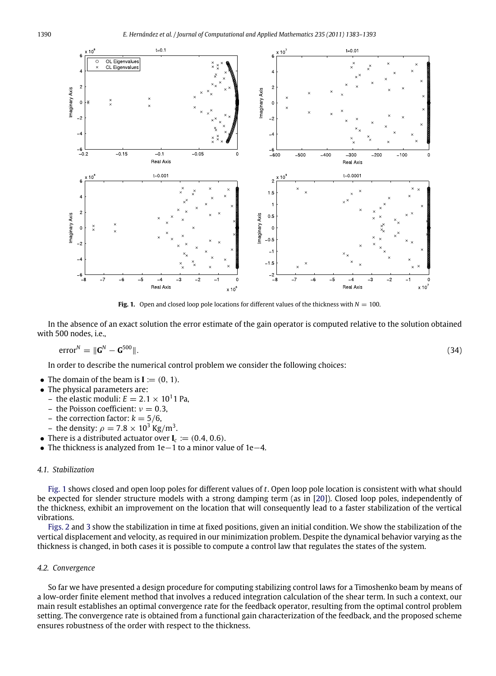<span id="page-7-0"></span>

**Fig. 1.** Open and closed loop pole locations for different values of the thickness with  $N = 100$ .

In the absence of an exact solution the error estimate of the gain operator is computed relative to the solution obtained with 500 nodes, i.e.,

$$
error^N = \|\mathbf{G}^N - \mathbf{G}^{500}\|.\tag{34}
$$

In order to describe the numerical control problem we consider the following choices:

- The domain of the beam is  $I := (0, 1)$ .
- The physical parameters are:
	- the elastic moduli:  $E = 2.1 \times 10^1$ 1 Pa,
	- the Poisson coefficient:  $v = 0.3$ .
	- the correction factor:  $k = 5/6$ ,
	- the density:  $\rho = 7.8 \times 10^3$  Kg/m $^3$ .
- There is a distributed actuator over  $I_c := (0.4, 0.6)$ .
- The thickness is analyzed from 1e−1 to a minor value of 1e−4.

#### *4.1. Stabilization*

[Fig. 1](#page-7-0) shows closed and open loop poles for different values of *t*. Open loop pole location is consistent with what should be expected for slender structure models with a strong damping term (as in [\[20\]](#page-10-19)). Closed loop poles, independently of the thickness, exhibit an improvement on the location that will consequently lead to a faster stabilization of the vertical vibrations.

[Figs. 2](#page-8-0) and [3](#page-8-1) show the stabilization in time at fixed positions, given an initial condition. We show the stabilization of the vertical displacement and velocity, as required in our minimization problem. Despite the dynamical behavior varying as the thickness is changed, in both cases it is possible to compute a control law that regulates the states of the system.

#### *4.2. Convergence*

So far we have presented a design procedure for computing stabilizing control laws for a Timoshenko beam by means of a low-order finite element method that involves a reduced integration calculation of the shear term. In such a context, our main result establishes an optimal convergence rate for the feedback operator, resulting from the optimal control problem setting. The convergence rate is obtained from a functional gain characterization of the feedback, and the proposed scheme ensures robustness of the order with respect to the thickness.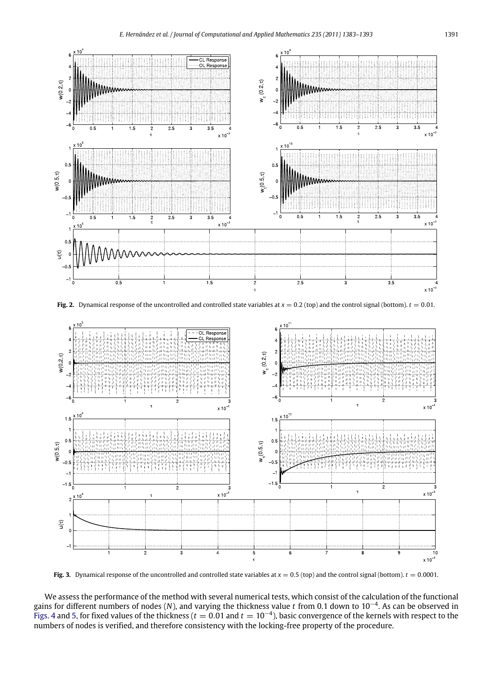<span id="page-8-0"></span>

**Fig. 2.** Dynamical response of the uncontrolled and controlled state variables at  $x = 0.2$  (top) and the control signal (bottom).  $t = 0.01$ .

<span id="page-8-1"></span>

**Fig. 3.** Dynamical response of the uncontrolled and controlled state variables at  $x = 0.5$  (top) and the control signal (bottom).  $t = 0.0001$ .

We assess the performance of the method with several numerical tests, which consist of the calculation of the functional gains for different numbers of nodes (*N*), and varying the thickness value *t* from 0.1 down to 10−<sup>4</sup> . As can be observed in [Figs. 4](#page-9-0) and [5,](#page-9-1) for fixed values of the thickness ( $t = 0.01$  and  $t = 10^{-4}$ ), basic convergence of the kernels with respect to the numbers of nodes is verified, and therefore consistency with the locking-free property of the procedure.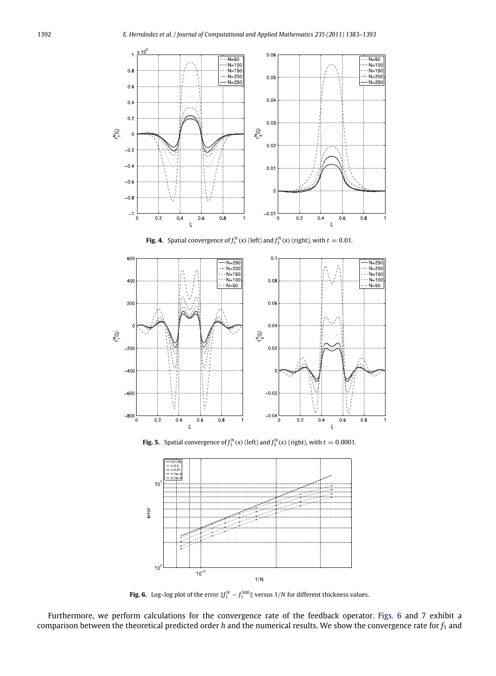<span id="page-9-0"></span>

**Fig. 4.** Spatial convergence of  $f_1^N(x)$  (left) and  $f_3^N(x)$  (right), with  $t = 0.01$ .

<span id="page-9-1"></span>

**Fig. 5.** Spatial convergence of  $f_1^N(x)$  (left) and  $f_3^N(x)$  (right), with  $t = 0.0001$ .

<span id="page-9-2"></span>

**Fig. 6.** Log–log plot of the error  $||f_1^N - f_1^{500}||$  versus 1/*N* for different thickness values.

Furthermore, we perform calculations for the convergence rate of the feedback operator. [Figs. 6](#page-9-2) and [7](#page-10-20) exhibit a comparison between the theoretical predicted order *h* and the numerical results. We show the convergence rate for *f*<sup>1</sup> and